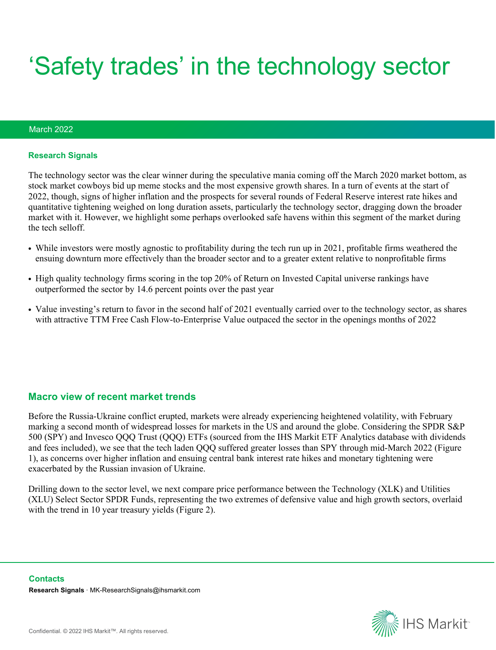# 'Safety trades' in the technology sector

#### March 2022

#### **Research Signals**

The technology sector was the clear winner during the speculative mania coming off the March 2020 market bottom, as stock market cowboys bid up meme stocks and the most expensive growth shares. In a turn of events at the start of 2022, though, signs of higher inflation and the prospects for several rounds of Federal Reserve interest rate hikes and quantitative tightening weighed on long duration assets, particularly the technology sector, dragging down the broader market with it. However, we highlight some perhaps overlooked safe havens within this segment of the market during the tech selloff.

- While investors were mostly agnostic to profitability during the tech run up in 2021, profitable firms weathered the ensuing downturn more effectively than the broader sector and to a greater extent relative to nonprofitable firms
- High quality technology firms scoring in the top 20% of Return on Invested Capital universe rankings have outperformed the sector by 14.6 percent points over the past year
- Value investing's return to favor in the second half of 2021 eventually carried over to the technology sector, as shares with attractive TTM Free Cash Flow-to-Enterprise Value outpaced the sector in the openings months of 2022

#### **Macro view of recent market trends**

Before the Russia-Ukraine conflict erupted, markets were already experiencing heightened volatility, with February marking a second month of widespread losses for markets in the US and around the globe. Considering the SPDR S&P 500 (SPY) and Invesco QQQ Trust (QQQ) ETFs (sourced from the IHS Markit ETF Analytics database with dividends and fees included), we see that the tech laden QQQ suffered greater losses than SPY through mid-March 2022 (Figure 1), as concerns over higher inflation and ensuing central bank interest rate hikes and monetary tightening were exacerbated by the Russian invasion of Ukraine.

Drilling down to the sector level, we next compare price performance between the Technology (XLK) and Utilities (XLU) Select Sector SPDR Funds, representing the two extremes of defensive value and high growth sectors, overlaid with the trend in 10 year treasury yields (Figure 2).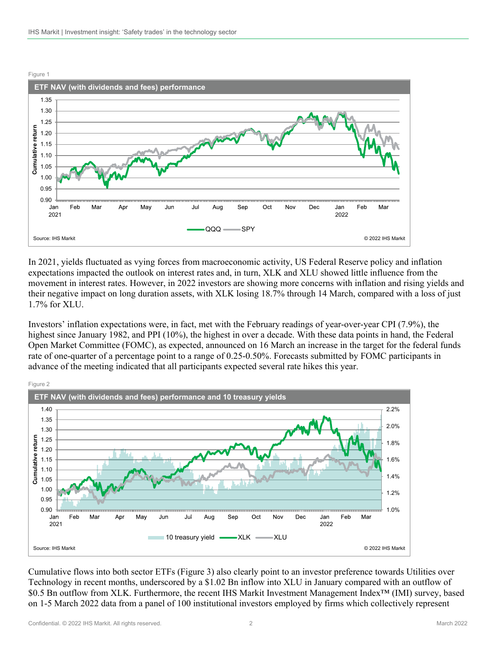

In 2021, yields fluctuated as vying forces from macroeconomic activity, US Federal Reserve policy and inflation expectations impacted the outlook on interest rates and, in turn, XLK and XLU showed little influence from the movement in interest rates. However, in 2022 investors are showing more concerns with inflation and rising yields and their negative impact on long duration assets, with XLK losing 18.7% through 14 March, compared with a loss of just 1.7% for XLU.

Investors' inflation expectations were, in fact, met with the February readings of year-over-year CPI (7.9%), the highest since January 1982, and PPI (10%), the highest in over a decade. With these data points in hand, the Federal Open Market Committee (FOMC), as expected, announced on 16 March an increase in the target for the federal funds rate of one-quarter of a percentage point to a range of 0.25-0.50%. Forecasts submitted by FOMC participants in advance of the meeting indicated that all participants expected several rate hikes this year.



Cumulative flows into both sector ETFs (Figure 3) also clearly point to an investor preference towards Utilities over Technology in recent months, underscored by a \$1.02 Bn inflow into XLU in January compared with an outflow of \$0.5 Bn outflow from XLK. Furthermore, the recent IHS Markit Investment Management Index™ (IMI) survey, based on 1-5 March 2022 data from a panel of 100 institutional investors employed by firms which collectively represent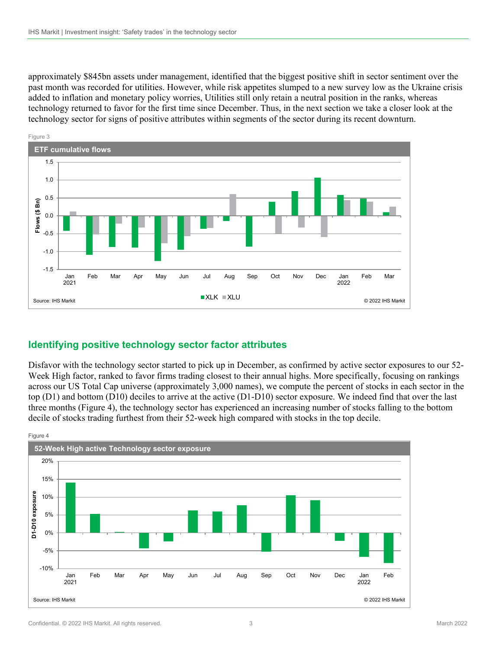approximately \$845bn assets under management, identified that the biggest positive shift in sector sentiment over the past month was recorded for utilities. However, while risk appetites slumped to a new survey low as the Ukraine crisis added to inflation and monetary policy worries, Utilities still only retain a neutral position in the ranks, whereas technology returned to favor for the first time since December. Thus, in the next section we take a closer look at the technology sector for signs of positive attributes within segments of the sector during its recent downturn.



## **Identifying positive technology sector factor attributes**

Disfavor with the technology sector started to pick up in December, as confirmed by active sector exposures to our 52- Week High factor, ranked to favor firms trading closest to their annual highs. More specifically, focusing on rankings across our US Total Cap universe (approximately 3,000 names), we compute the percent of stocks in each sector in the top (D1) and bottom (D10) deciles to arrive at the active (D1-D10) sector exposure. We indeed find that over the last three months (Figure 4), the technology sector has experienced an increasing number of stocks falling to the bottom decile of stocks trading furthest from their 52-week high compared with stocks in the top decile.

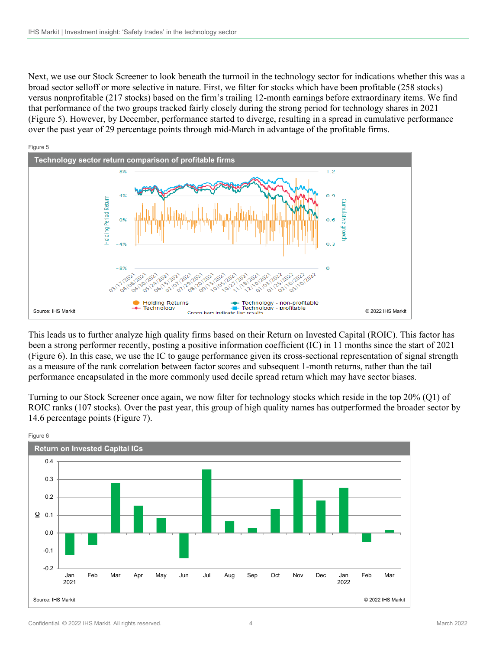Next, we use our Stock Screener to look beneath the turmoil in the technology sector for indications whether this was a broad sector selloff or more selective in nature. First, we filter for stocks which have been profitable (258 stocks) versus nonprofitable (217 stocks) based on the firm's trailing 12-month earnings before extraordinary items. We find that performance of the two groups tracked fairly closely during the strong period for technology shares in 2021 (Figure 5). However, by December, performance started to diverge, resulting in a spread in cumulative performance over the past year of 29 percentage points through mid-March in advantage of the profitable firms.



This leads us to further analyze high quality firms based on their Return on Invested Capital (ROIC). This factor has been a strong performer recently, posting a positive information coefficient (IC) in 11 months since the start of 2021 (Figure 6). In this case, we use the IC to gauge performance given its cross-sectional representation of signal strength as a measure of the rank correlation between factor scores and subsequent 1-month returns, rather than the tail performance encapsulated in the more commonly used decile spread return which may have sector biases.

Turning to our Stock Screener once again, we now filter for technology stocks which reside in the top 20% (Q1) of ROIC ranks (107 stocks). Over the past year, this group of high quality names has outperformed the broader sector by 14.6 percentage points (Figure 7).

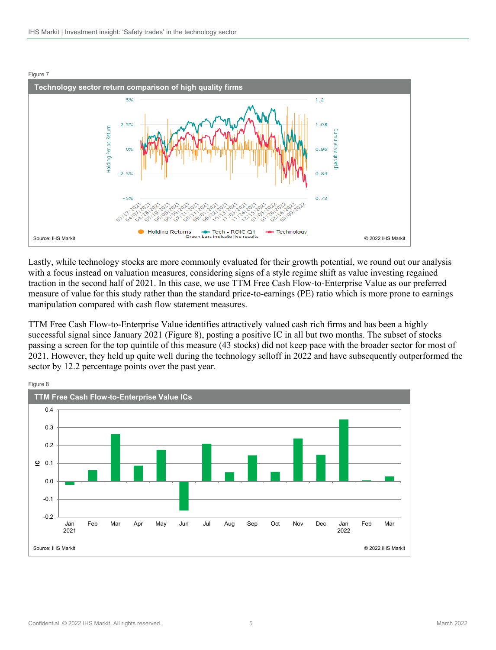

Lastly, while technology stocks are more commonly evaluated for their growth potential, we round out our analysis with a focus instead on valuation measures, considering signs of a style regime shift as value investing regained traction in the second half of 2021. In this case, we use TTM Free Cash Flow-to-Enterprise Value as our preferred measure of value for this study rather than the standard price-to-earnings (PE) ratio which is more prone to earnings manipulation compared with cash flow statement measures.

TTM Free Cash Flow-to-Enterprise Value identifies attractively valued cash rich firms and has been a highly successful signal since January 2021 (Figure 8), posting a positive IC in all but two months. The subset of stocks passing a screen for the top quintile of this measure (43 stocks) did not keep pace with the broader sector for most of 2021. However, they held up quite well during the technology selloff in 2022 and have subsequently outperformed the sector by 12.2 percentage points over the past year.

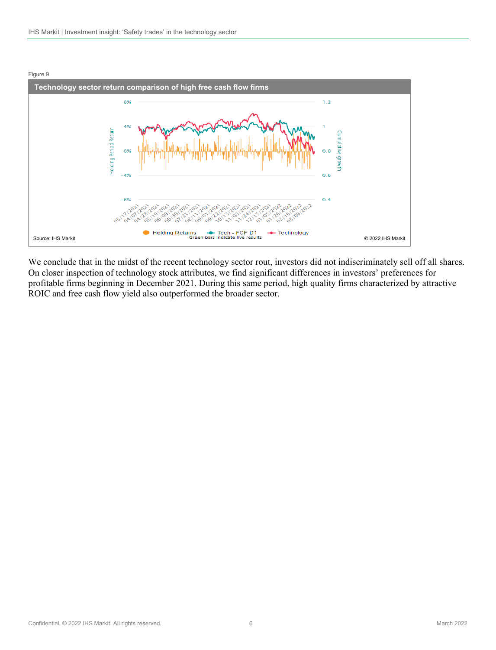

We conclude that in the midst of the recent technology sector rout, investors did not indiscriminately sell off all shares. On closer inspection of technology stock attributes, we find significant differences in investors' preferences for profitable firms beginning in December 2021. During this same period, high quality firms characterized by attractive ROIC and free cash flow yield also outperformed the broader sector.